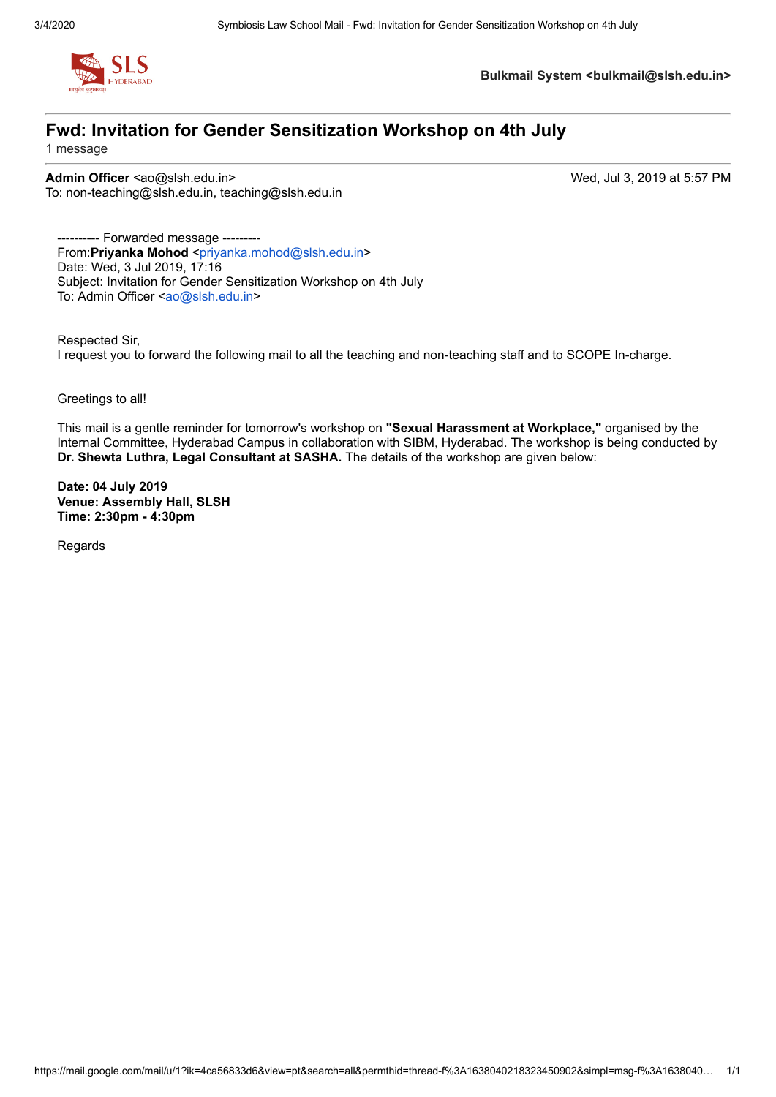

**Bulkmail System <bulkmail@slsh.edu.in>**

# **Fwd: Invitation for Gender Sensitization Workshop on 4th July**

1 message

**Admin Officer** <ao@slsh.edu.in> Wed, Jul 3, 2019 at 5:57 PM To: non-teaching@slsh.edu.in, teaching@slsh.edu.in

---- Forwarded message ---------From:**Priyanka Mohod** <[priyanka.mohod@slsh.edu.in](mailto:priyanka.mohod@slsh.edu.in)> Date: Wed, 3 Jul 2019, 17:16 Subject: Invitation for Gender Sensitization Workshop on 4th July To: Admin Officer [<ao@slsh.edu.in](mailto:ao@slsh.edu.in)>

Respected Sir, I request you to forward the following mail to all the teaching and non-teaching staff and to SCOPE In-charge.

Greetings to all!

This mail is a gentle reminder for tomorrow's workshop on **"Sexual Harassment at Workplace,"** organised by the Internal Committee, Hyderabad Campus in collaboration with SIBM, Hyderabad. The workshop is being conducted by **Dr. Shewta Luthra, Legal Consultant at SASHA.** The details of the workshop are given below:

**Date: 04 July 2019 Venue: Assembly Hall, SLSH Time: 2:30pm - 4:30pm**

Regards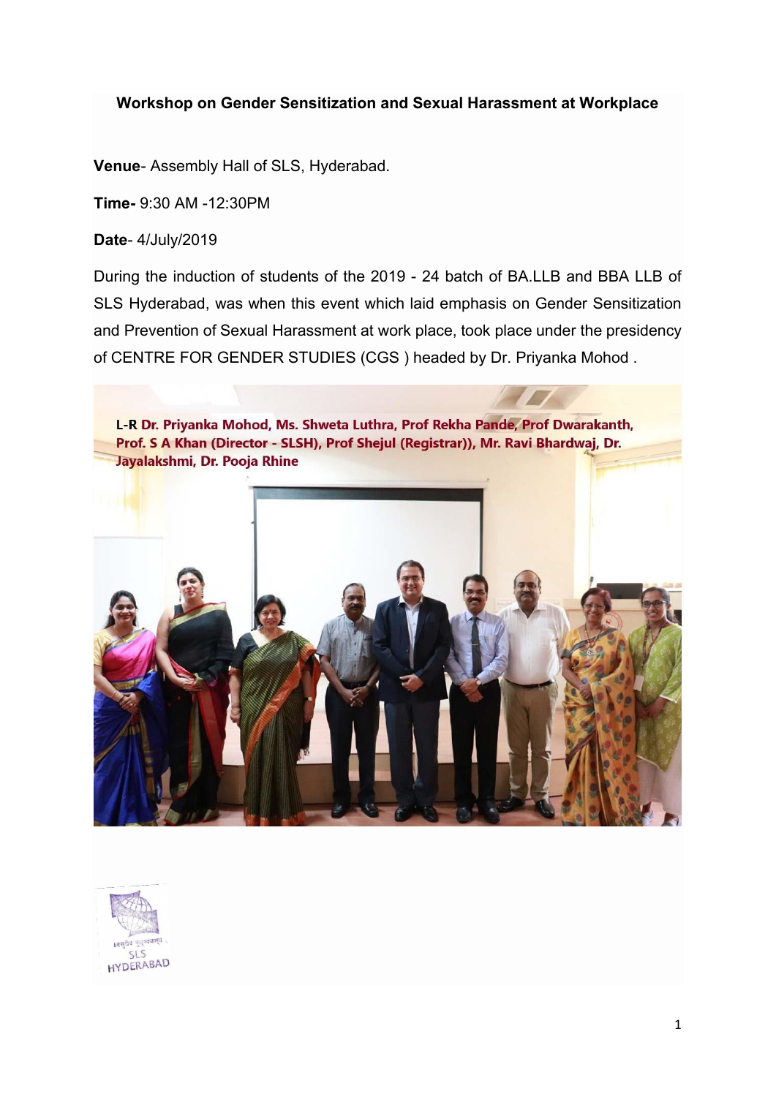## **Workshop on Gender Sensitization and Sexual Harassment at Workplace**

**Venue**- Assembly Hall of SLS, Hyderabad.

**Time-** 9:30 AM -12:30PM

**Date**- 4/July/2019

During the induction of students of the 2019 - 24 batch of BA.LLB and BBA LLB of SLS Hyderabad, was when this event which laid emphasis on Gender Sensitization and Prevention of Sexual Harassment at work place, took place under the presidency of CENTRE FOR GENDER STUDIES (CGS ) headed by Dr. Priyanka Mohod .



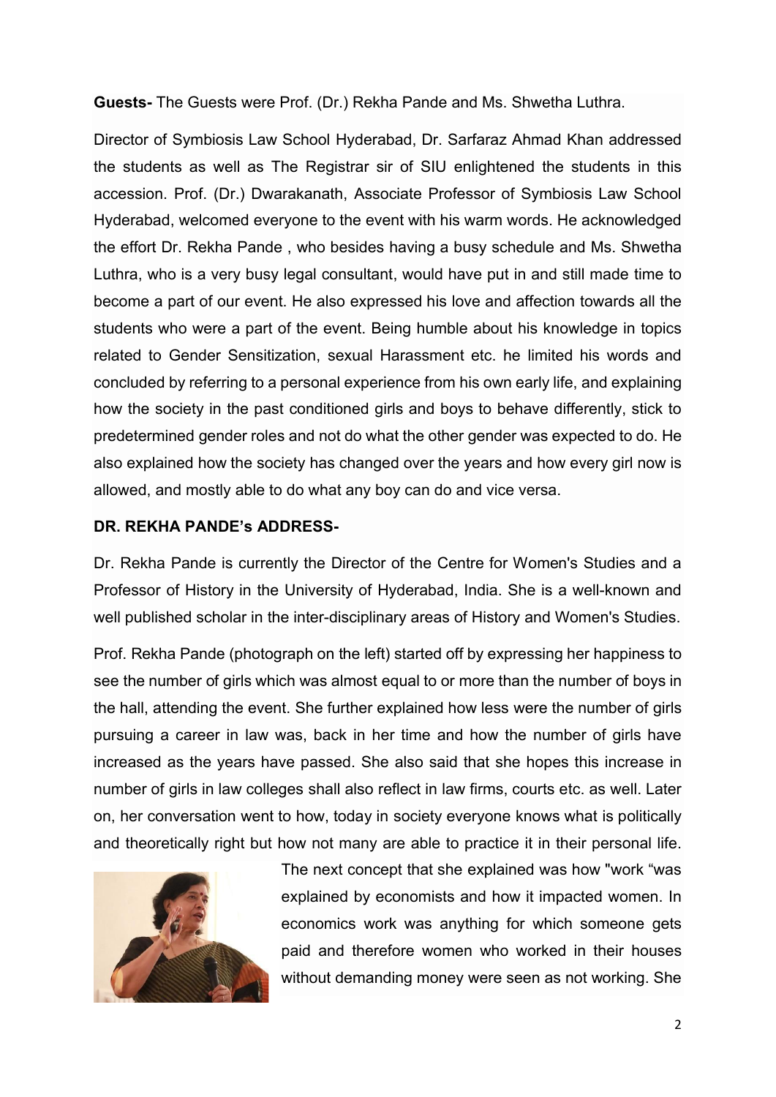**Guests-** The Guests were Prof. (Dr.) Rekha Pande and Ms. Shwetha Luthra.

Director of Symbiosis Law School Hyderabad, Dr. Sarfaraz Ahmad Khan addressed the students as well as The Registrar sir of SIU enlightened the students in this accession. Prof. (Dr.) Dwarakanath, Associate Professor of Symbiosis Law School Hyderabad, welcomed everyone to the event with his warm words. He acknowledged the effort Dr. Rekha Pande , who besides having a busy schedule and Ms. Shwetha Luthra, who is a very busy legal consultant, would have put in and still made time to become a part of our event. He also expressed his love and affection towards all the students who were a part of the event. Being humble about his knowledge in topics related to Gender Sensitization, sexual Harassment etc. he limited his words and concluded by referring to a personal experience from his own early life, and explaining how the society in the past conditioned girls and boys to behave differently, stick to predetermined gender roles and not do what the other gender was expected to do. He also explained how the society has changed over the years and how every girl now is allowed, and mostly able to do what any boy can do and vice versa.

## **DR. REKHA PANDE's ADDRESS-**

Dr. Rekha Pande is currently the Director of the Centre for Women's Studies and a Professor of History in the University of Hyderabad, India. She is a well-known and well published scholar in the inter-disciplinary areas of History and Women's Studies.

Prof. Rekha Pande (photograph on the left) started off by expressing her happiness to see the number of girls which was almost equal to or more than the number of boys in the hall, attending the event. She further explained how less were the number of girls pursuing a career in law was, back in her time and how the number of girls have increased as the years have passed. She also said that she hopes this increase in number of girls in law colleges shall also reflect in law firms, courts etc. as well. Later on, her conversation went to how, today in society everyone knows what is politically and theoretically right but how not many are able to practice it in their personal life.



The next concept that she explained was how "work "was explained by economists and how it impacted women. In economics work was anything for which someone gets paid and therefore women who worked in their houses without demanding money were seen as not working. She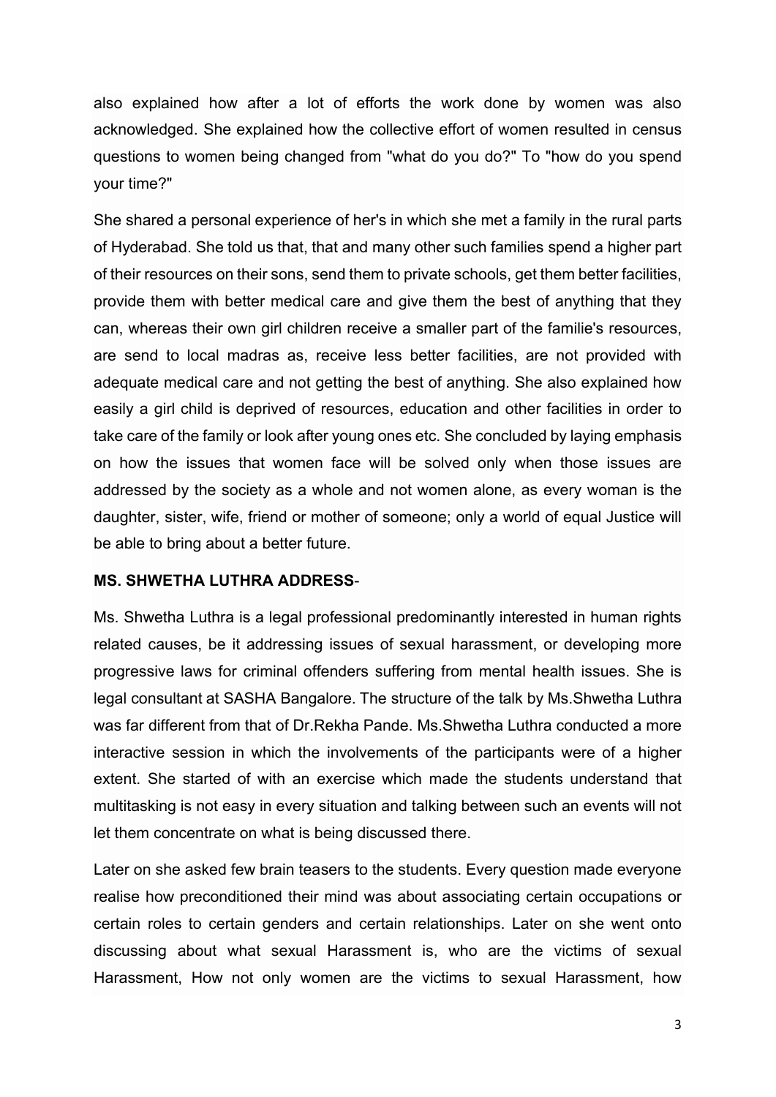also explained how after a lot of efforts the work done by women was also acknowledged. She explained how the collective effort of women resulted in census questions to women being changed from "what do you do?" To "how do you spend your time?"

She shared a personal experience of her's in which she met a family in the rural parts of Hyderabad. She told us that, that and many other such families spend a higher part of their resources on their sons, send them to private schools, get them better facilities, provide them with better medical care and give them the best of anything that they can, whereas their own girl children receive a smaller part of the familie's resources, are send to local madras as, receive less better facilities, are not provided with adequate medical care and not getting the best of anything. She also explained how easily a girl child is deprived of resources, education and other facilities in order to take care of the family or look after young ones etc. She concluded by laying emphasis on how the issues that women face will be solved only when those issues are addressed by the society as a whole and not women alone, as every woman is the daughter, sister, wife, friend or mother of someone; only a world of equal Justice will be able to bring about a better future.

### **MS. SHWETHA LUTHRA ADDRESS**-

Ms. Shwetha Luthra is a legal professional predominantly interested in human rights related causes, be it addressing issues of sexual harassment, or developing more progressive laws for criminal offenders suffering from mental health issues. She is legal consultant at SASHA Bangalore. The structure of the talk by Ms.Shwetha Luthra was far different from that of Dr.Rekha Pande. Ms.Shwetha Luthra conducted a more interactive session in which the involvements of the participants were of a higher extent. She started of with an exercise which made the students understand that multitasking is not easy in every situation and talking between such an events will not let them concentrate on what is being discussed there.

Later on she asked few brain teasers to the students. Every question made everyone realise how preconditioned their mind was about associating certain occupations or certain roles to certain genders and certain relationships. Later on she went onto discussing about what sexual Harassment is, who are the victims of sexual Harassment, How not only women are the victims to sexual Harassment, how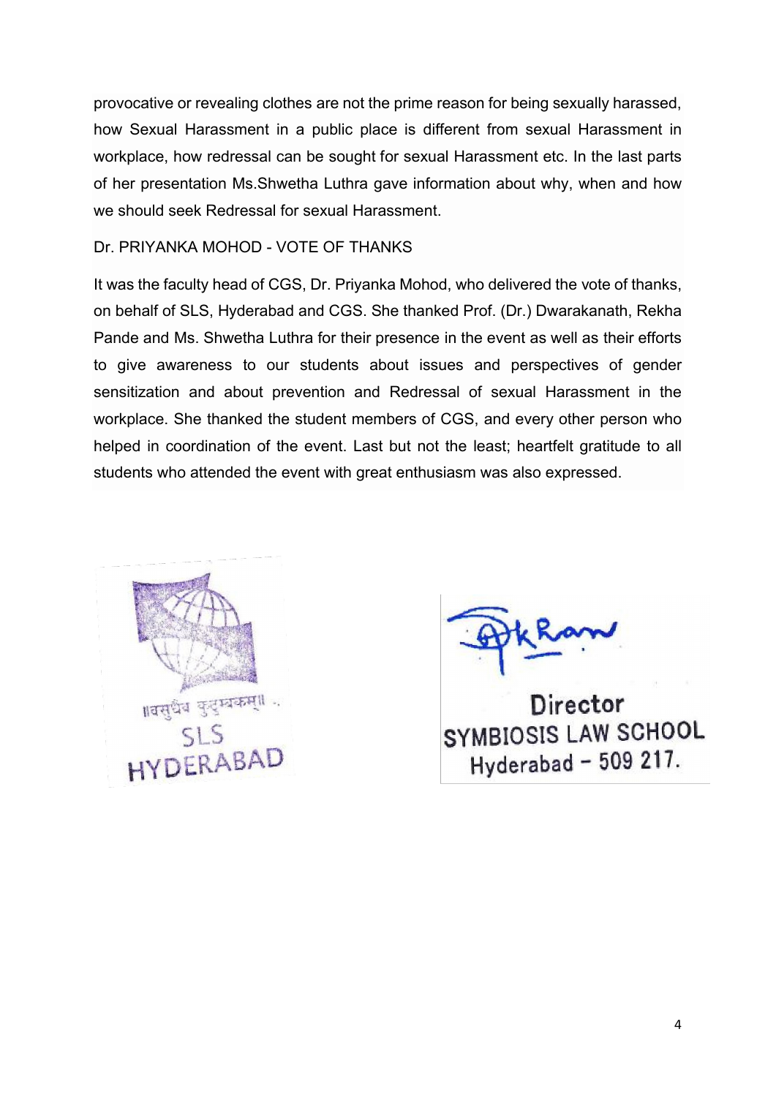provocative or revealing clothes are not the prime reason for being sexually harassed, how Sexual Harassment in a public place is different from sexual Harassment in workplace, how redressal can be sought for sexual Harassment etc. In the last parts of her presentation Ms.Shwetha Luthra gave information about why, when and how we should seek Redressal for sexual Harassment.

### Dr. PRIYANKA MOHOD - VOTE OF THANKS

It was the faculty head of CGS, Dr. Priyanka Mohod, who delivered the vote of thanks, on behalf of SLS, Hyderabad and CGS. She thanked Prof. (Dr.) Dwarakanath, Rekha Pande and Ms. Shwetha Luthra for their presence in the event as well as their efforts to give awareness to our students about issues and perspectives of gender sensitization and about prevention and Redressal of sexual Harassment in the workplace. She thanked the student members of CGS, and every other person who helped in coordination of the event. Last but not the least; heartfelt gratitude to all students who attended the event with great enthusiasm was also expressed.



Director SYMBIOSIS LAW SCHOOL Hyderabad - 509 217.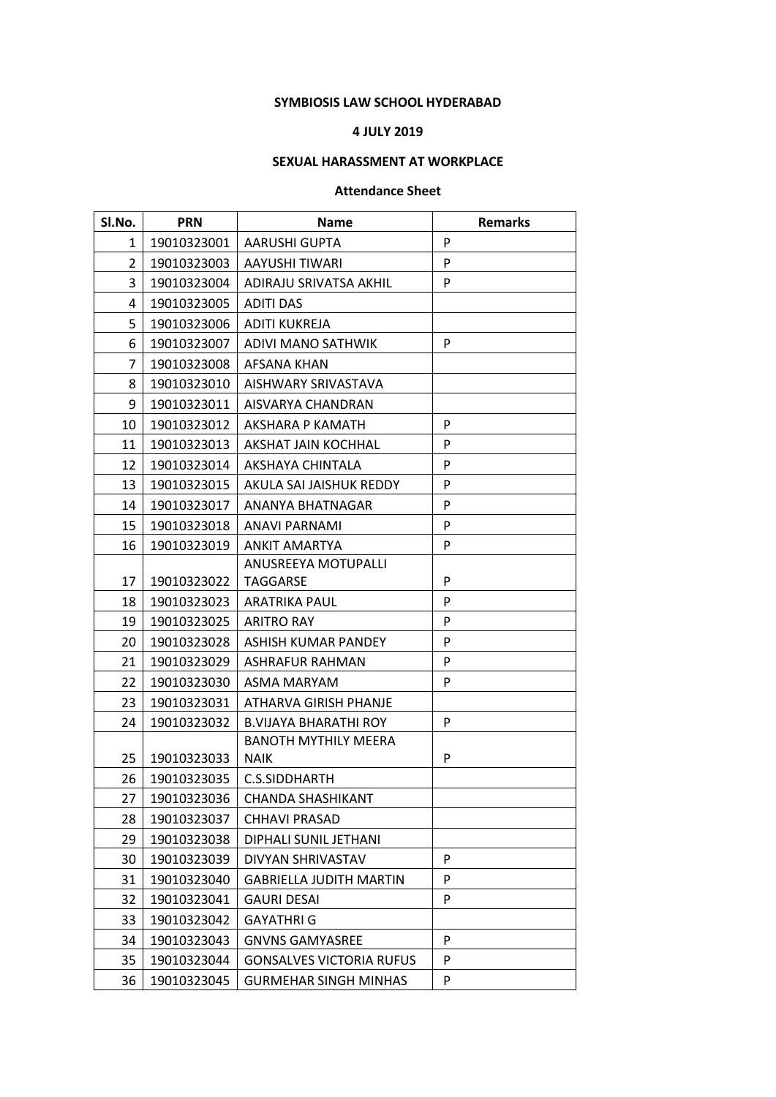#### **SYMBIOSIS LAW SCHOOL HYDERABAD**

#### **4 JULY 2019**

### **SEXUAL HARASSMENT AT WORKPLACE**

#### **Attendance Sheet**

| Sl.No.         | <b>PRN</b>  | <b>Name</b>                     | <b>Remarks</b> |
|----------------|-------------|---------------------------------|----------------|
| 1              | 19010323001 | <b>AARUSHI GUPTA</b>            | P              |
| $\overline{2}$ | 19010323003 | AAYUSHI TIWARI                  | P              |
| 3              | 19010323004 | ADIRAJU SRIVATSA AKHIL          | P              |
| 4              | 19010323005 | <b>ADITI DAS</b>                |                |
| 5              | 19010323006 | <b>ADITI KUKREJA</b>            |                |
| 6              | 19010323007 | <b>ADIVI MANO SATHWIK</b>       | P              |
| 7              | 19010323008 | AFSANA KHAN                     |                |
| 8              | 19010323010 | AISHWARY SRIVASTAVA             |                |
| 9              | 19010323011 | AISVARYA CHANDRAN               |                |
| 10             | 19010323012 | AKSHARA P KAMATH                | P              |
| 11             | 19010323013 | AKSHAT JAIN KOCHHAL             | P              |
| 12             | 19010323014 | <b>AKSHAYA CHINTALA</b>         | P              |
| 13             | 19010323015 | AKULA SAI JAISHUK REDDY         | P              |
| 14             | 19010323017 | ANANYA BHATNAGAR                | P              |
| 15             | 19010323018 | ANAVI PARNAMI                   | P              |
| 16             | 19010323019 | <b>ANKIT AMARTYA</b>            | P              |
|                |             | ANUSREEYA MOTUPALLI             |                |
| 17             | 19010323022 | <b>TAGGARSE</b>                 | P              |
| 18             | 19010323023 | <b>ARATRIKA PAUL</b>            | P              |
| 19             | 19010323025 | <b>ARITRO RAY</b>               | P              |
| 20             | 19010323028 | ASHISH KUMAR PANDEY             | P              |
| 21             | 19010323029 | ASHRAFUR RAHMAN                 | P              |
| 22             | 19010323030 | ASMA MARYAM                     | P              |
| 23             | 19010323031 | ATHARVA GIRISH PHANJE           |                |
| 24             | 19010323032 | <b>B.VIJAYA BHARATHI ROY</b>    | P              |
|                |             | <b>BANOTH MYTHILY MEERA</b>     |                |
| 25             | 19010323033 | <b>NAIK</b>                     | P              |
| 26             | 19010323035 | C.S.SIDDHARTH                   |                |
| 27             | 19010323036 | CHANDA SHASHIKANT               |                |
| 28             | 19010323037 | <b>CHHAVI PRASAD</b>            |                |
| 29             | 19010323038 | DIPHALI SUNIL JETHANI           |                |
| 30             | 19010323039 | DIVYAN SHRIVASTAV               | P              |
| 31             | 19010323040 | <b>GABRIELLA JUDITH MARTIN</b>  | P              |
| 32             | 19010323041 | <b>GAURI DESAI</b>              | P              |
| 33             | 19010323042 | <b>GAYATHRI G</b>               |                |
| 34             | 19010323043 | <b>GNVNS GAMYASREE</b>          | P              |
| 35             | 19010323044 | <b>GONSALVES VICTORIA RUFUS</b> | P              |
| 36             | 19010323045 | <b>GURMEHAR SINGH MINHAS</b>    | P              |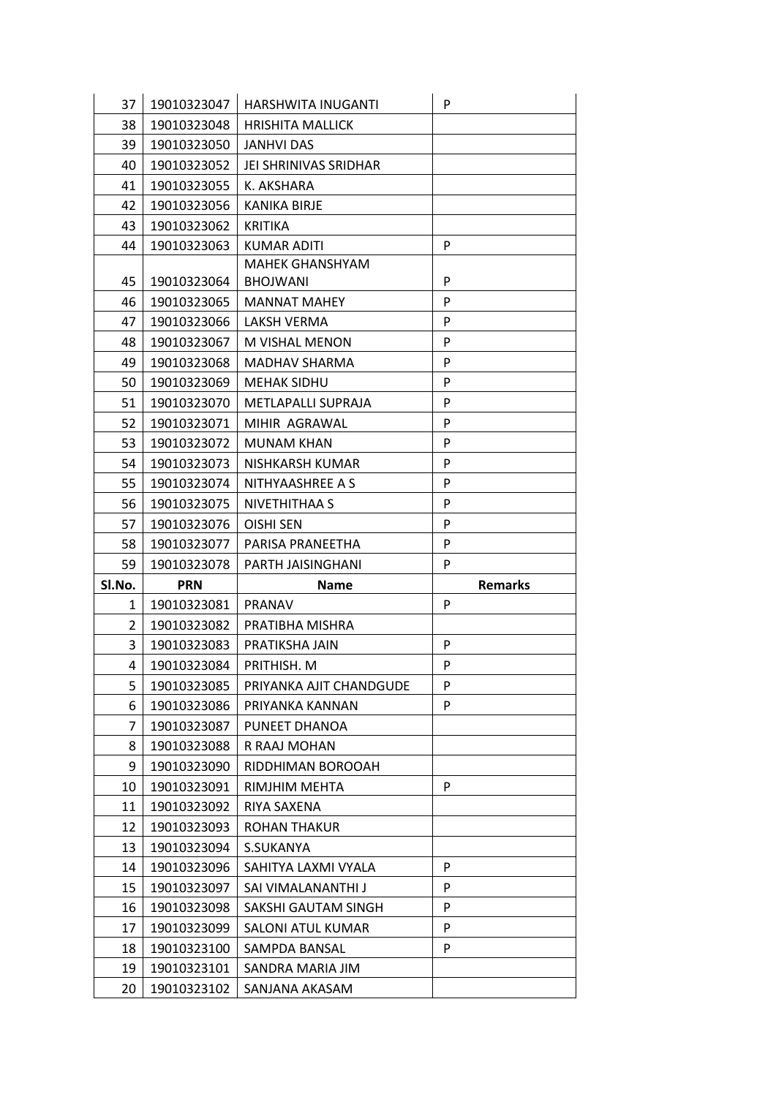| 37             | 19010323047 | HARSHWITA INUGANTI      | P              |
|----------------|-------------|-------------------------|----------------|
| 38             | 19010323048 | <b>HRISHITA MALLICK</b> |                |
| 39             | 19010323050 | <b>JANHVI DAS</b>       |                |
| 40             | 19010323052 | JEI SHRINIVAS SRIDHAR   |                |
| 41             | 19010323055 | K. AKSHARA              |                |
| 42             | 19010323056 | KANIKA BIRJE            |                |
| 43             | 19010323062 | <b>KRITIKA</b>          |                |
| 44             | 19010323063 | <b>KUMAR ADITI</b>      | P              |
|                |             | <b>MAHEK GHANSHYAM</b>  |                |
| 45             | 19010323064 | <b>BHOJWANI</b>         | P              |
| 46             | 19010323065 | <b>MANNAT MAHEY</b>     | P              |
| 47             | 19010323066 | LAKSH VERMA             | P              |
| 48             | 19010323067 | M VISHAL MENON          | P              |
| 49             | 19010323068 | MADHAV SHARMA           | P              |
| 50             | 19010323069 | <b>MEHAK SIDHU</b>      | P              |
| 51             | 19010323070 | METLAPALLI SUPRAJA      | P              |
| 52             | 19010323071 | MIHIR AGRAWAL           | P              |
| 53             | 19010323072 | <b>MUNAM KHAN</b>       | P              |
| 54             | 19010323073 | NISHKARSH KUMAR         | P              |
| 55             | 19010323074 | NITHYAASHREE A S        | P              |
| 56             | 19010323075 | NIVETHITHAA S           | P              |
| 57             | 19010323076 | OISHI SEN               | P              |
| 58             | 19010323077 | PARISA PRANEETHA        | P              |
|                |             |                         |                |
| 59             | 19010323078 | PARTH JAISINGHANI       | P              |
| Sl.No.         | <b>PRN</b>  | <b>Name</b>             | <b>Remarks</b> |
| 1              | 19010323081 | <b>PRANAV</b>           | P              |
| $\overline{2}$ | 19010323082 | PRATIBHA MISHRA         |                |
| 3              | 19010323083 | PRATIKSHA JAIN          | P              |
| 4              | 19010323084 | PRITHISH. M             | P              |
| 5              | 19010323085 | PRIYANKA AJIT CHANDGUDE | P              |
| 6              | 19010323086 | PRIYANKA KANNAN         | P              |
| 7              | 19010323087 | PUNEET DHANOA           |                |
| 8              | 19010323088 | R RAAJ MOHAN            |                |
| 9              | 19010323090 | RIDDHIMAN BOROOAH       |                |
| 10             | 19010323091 | RIMJHIM MEHTA           | P              |
| 11             | 19010323092 | RIYA SAXENA             |                |
| 12             | 19010323093 | ROHAN THAKUR            |                |
| 13             | 19010323094 | S.SUKANYA               |                |
| 14             | 19010323096 | SAHITYA LAXMI VYALA     | P              |
| 15             | 19010323097 | SAI VIMALANANTHI J      | P              |
| 16             | 19010323098 | SAKSHI GAUTAM SINGH     | P              |
| 17             | 19010323099 | SALONI ATUL KUMAR       | P              |
| 18             | 19010323100 | SAMPDA BANSAL           | P              |
| 19             | 19010323101 | SANDRA MARIA JIM        |                |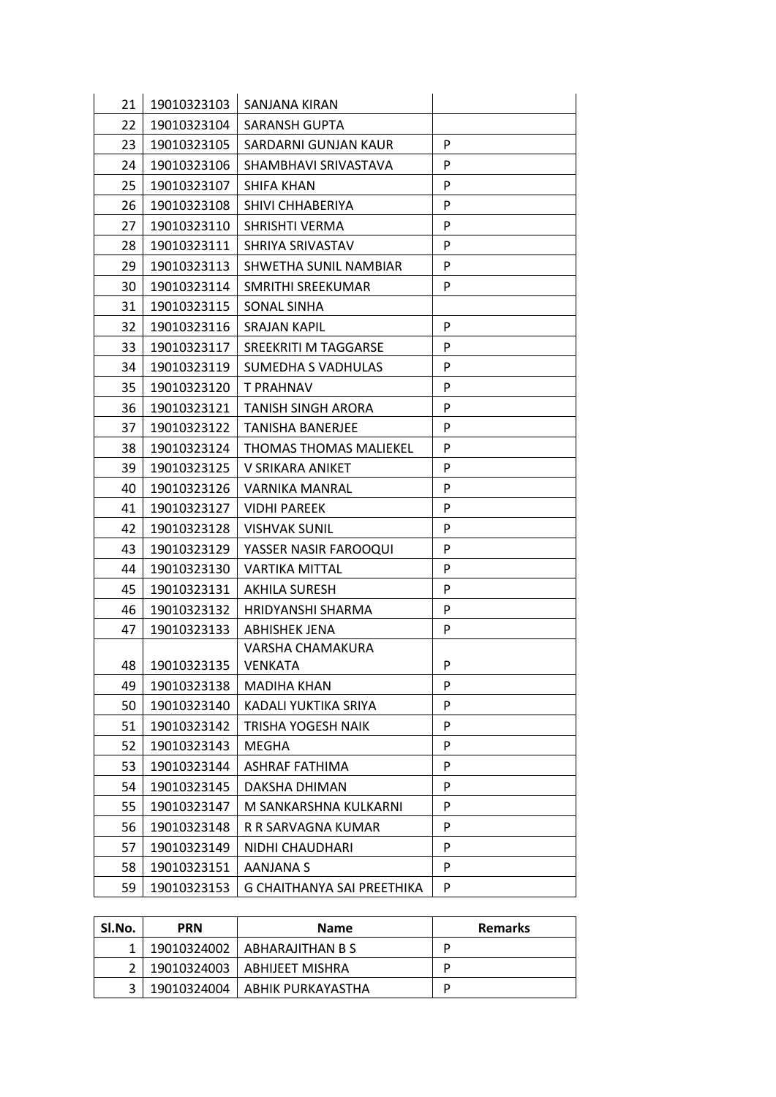| 21 | 19010323103 | SANJANA KIRAN                 |   |
|----|-------------|-------------------------------|---|
| 22 | 19010323104 | SARANSH GUPTA                 |   |
| 23 | 19010323105 | SARDARNI GUNJAN KAUR          | P |
| 24 | 19010323106 | SHAMBHAVI SRIVASTAVA          | P |
| 25 | 19010323107 | <b>SHIFA KHAN</b>             | P |
| 26 | 19010323108 | SHIVI CHHABERIYA              | P |
| 27 | 19010323110 | SHRISHTI VERMA                | P |
| 28 | 19010323111 | SHRIYA SRIVASTAV              | P |
| 29 | 19010323113 | SHWETHA SUNIL NAMBIAR         | P |
| 30 | 19010323114 | SMRITHI SREEKUMAR             | P |
| 31 | 19010323115 | SONAL SINHA                   |   |
| 32 | 19010323116 | <b>SRAJAN KAPIL</b>           | P |
| 33 | 19010323117 | SREEKRITI M TAGGARSE          | P |
| 34 | 19010323119 | SUMEDHA S VADHULAS            | P |
| 35 | 19010323120 | T PRAHNAV                     | P |
| 36 | 19010323121 | TANISH SINGH ARORA            | P |
| 37 | 19010323122 | <b>TANISHA BANERJEE</b>       | P |
| 38 | 19010323124 | <b>THOMAS THOMAS MALIEKEL</b> | P |
| 39 | 19010323125 | V SRIKARA ANIKET              | P |
| 40 | 19010323126 | <b>VARNIKA MANRAL</b>         | P |
| 41 | 19010323127 | <b>VIDHI PAREEK</b>           | P |
| 42 | 19010323128 | <b>VISHVAK SUNIL</b>          | P |
| 43 | 19010323129 | YASSER NASIR FAROOQUI         | P |
| 44 | 19010323130 | <b>VARTIKA MITTAL</b>         | P |
| 45 | 19010323131 | <b>AKHILA SURESH</b>          | P |
| 46 | 19010323132 | <b>HRIDYANSHI SHARMA</b>      | P |
| 47 | 19010323133 | ABHISHEK JENA                 | P |
|    |             | VARSHA CHAMAKURA              |   |
| 48 | 19010323135 | <b>VENKATA</b>                | P |
| 49 | 19010323138 | <b>MADIHA KHAN</b>            | P |
| 50 | 19010323140 | KADALI YUKTIKA SRIYA          | P |
| 51 | 19010323142 | TRISHA YOGESH NAIK            | P |
| 52 | 19010323143 | <b>MEGHA</b>                  | P |
| 53 | 19010323144 | <b>ASHRAF FATHIMA</b>         | P |
| 54 | 19010323145 | DAKSHA DHIMAN                 | P |
| 55 | 19010323147 | M SANKARSHNA KULKARNI         | P |
| 56 | 19010323148 | R R SARVAGNA KUMAR            | P |
| 57 | 19010323149 | NIDHI CHAUDHARI               | P |
| 58 | 19010323151 | AANJANA S                     | P |
| 59 | 19010323153 | G CHAITHANYA SAI PREETHIKA    | P |

| Sl.No. | <b>PRN</b> | <b>Name</b>                     | <b>Remarks</b> |
|--------|------------|---------------------------------|----------------|
|        |            | 19010324002   ABHARAJITHAN B S  | D              |
|        |            | 19010324003   ABHIJEET MISHRA   | D              |
|        |            | 19010324004   ABHIK PURKAYASTHA | D              |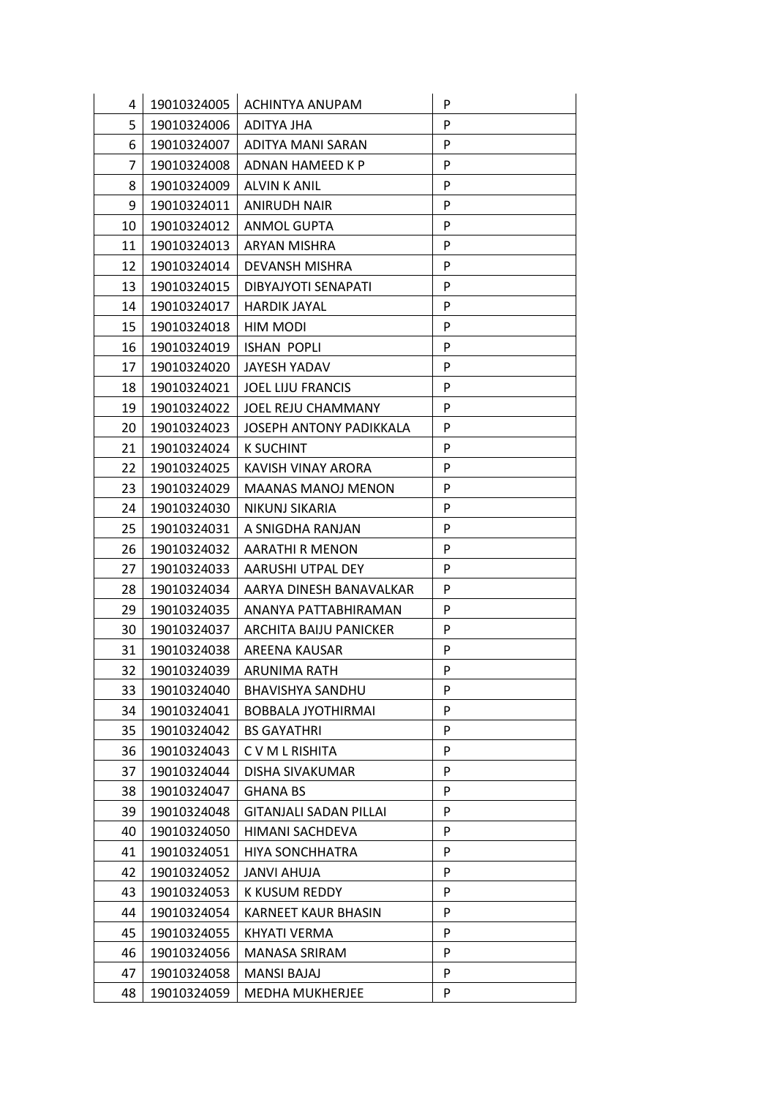| 4  | 19010324005 | <b>ACHINTYA ANUPAM</b>        | P |
|----|-------------|-------------------------------|---|
| 5  | 19010324006 | ADITYA JHA                    | P |
| 6  | 19010324007 | ADITYA MANI SARAN             | P |
| 7  | 19010324008 | ADNAN HAMEED K P              | P |
| 8  | 19010324009 | <b>ALVIN K ANIL</b>           | P |
| 9  | 19010324011 | <b>ANIRUDH NAIR</b>           | P |
| 10 | 19010324012 | <b>ANMOL GUPTA</b>            | P |
| 11 | 19010324013 | ARYAN MISHRA                  | P |
| 12 | 19010324014 | <b>DEVANSH MISHRA</b>         | P |
| 13 | 19010324015 | DIBYAJYOTI SENAPATI           | P |
| 14 | 19010324017 | <b>HARDIK JAYAL</b>           | P |
| 15 | 19010324018 | HIM MODI                      | P |
| 16 | 19010324019 | <b>ISHAN POPLI</b>            | P |
| 17 | 19010324020 | JAYESH YADAV                  | P |
| 18 | 19010324021 | <b>JOEL LIJU FRANCIS</b>      | P |
| 19 | 19010324022 | <b>JOEL REJU CHAMMANY</b>     | P |
| 20 | 19010324023 | JOSEPH ANTONY PADIKKALA       | P |
| 21 | 19010324024 | <b>K SUCHINT</b>              | P |
| 22 | 19010324025 | KAVISH VINAY ARORA            | P |
| 23 | 19010324029 | <b>MAANAS MANOJ MENON</b>     | P |
| 24 | 19010324030 | NIKUNJ SIKARIA                | P |
| 25 | 19010324031 | A SNIGDHA RANJAN              | P |
| 26 | 19010324032 | AARATHI R MENON               | P |
| 27 | 19010324033 | AARUSHI UTPAL DEY             | P |
| 28 | 19010324034 | AARYA DINESH BANAVALKAR       | P |
| 29 | 19010324035 | ANANYA PATTABHIRAMAN          | P |
| 30 | 19010324037 | ARCHITA BAIJU PANICKER        | P |
| 31 | 19010324038 | AREENA KAUSAR                 | P |
| 32 | 19010324039 | ARUNIMA RATH                  | P |
| 33 | 19010324040 | <b>BHAVISHYA SANDHU</b>       | P |
| 34 | 19010324041 | <b>BOBBALA JYOTHIRMAI</b>     | P |
| 35 | 19010324042 | <b>BS GAYATHRI</b>            | P |
| 36 | 19010324043 | C V M L RISHITA               | P |
| 37 | 19010324044 | DISHA SIVAKUMAR               | P |
| 38 | 19010324047 | <b>GHANA BS</b>               | P |
| 39 | 19010324048 | <b>GITANJALI SADAN PILLAI</b> | P |
| 40 | 19010324050 | HIMANI SACHDEVA               | P |
| 41 | 19010324051 | <b>HIYA SONCHHATRA</b>        | P |
| 42 | 19010324052 | <b>JANVI AHUJA</b>            | P |
| 43 | 19010324053 | K KUSUM REDDY                 | P |
| 44 | 19010324054 | <b>KARNEET KAUR BHASIN</b>    | P |
| 45 | 19010324055 | KHYATI VERMA                  | P |
| 46 | 19010324056 | <b>MANASA SRIRAM</b>          | P |
| 47 | 19010324058 | <b>MANSI BAJAJ</b>            | P |
| 48 | 19010324059 | <b>MEDHA MUKHERJEE</b>        | P |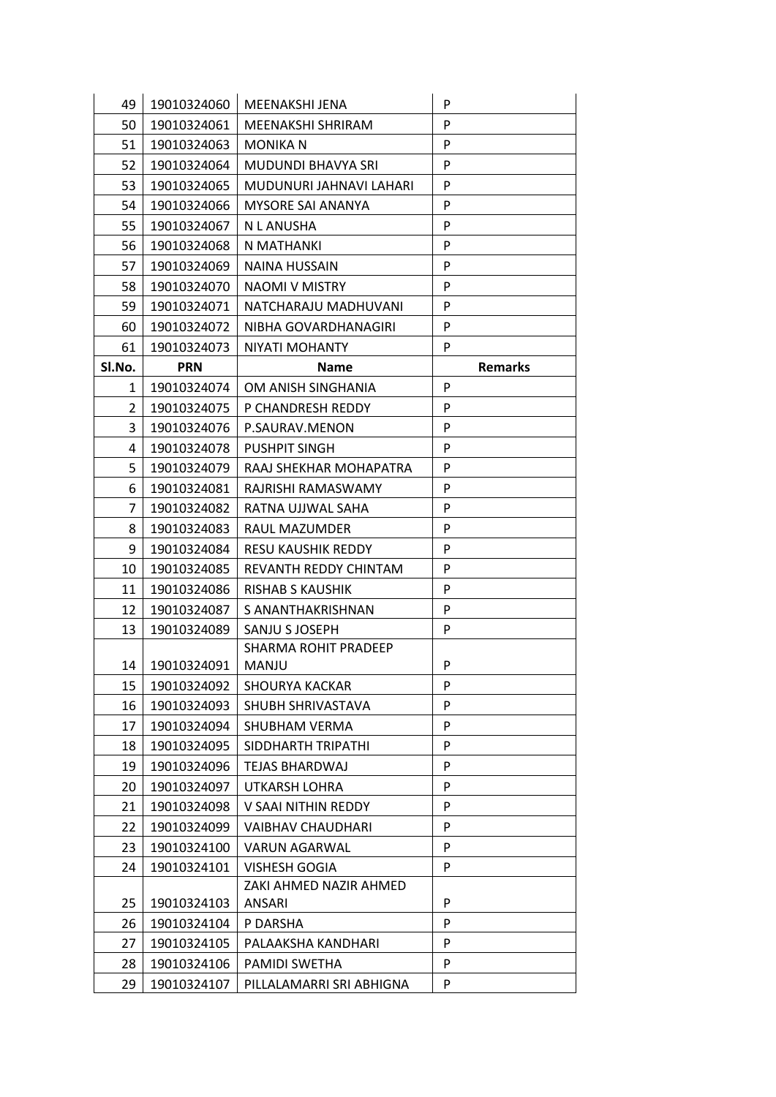| 49             | 19010324060 | MEENAKSHI JENA            | P              |
|----------------|-------------|---------------------------|----------------|
| 50             | 19010324061 | MEENAKSHI SHRIRAM         | P              |
| 51             | 19010324063 | <b>MONIKA N</b>           | P              |
| 52             | 19010324064 | <b>MUDUNDI BHAVYA SRI</b> | P              |
| 53             | 19010324065 | MUDUNURI JAHNAVI LAHARI   | P              |
| 54             | 19010324066 | MYSORE SAI ANANYA         | P              |
| 55             | 19010324067 | N L ANUSHA                | P              |
| 56             | 19010324068 | N MATHANKI                | P              |
| 57             | 19010324069 | <b>NAINA HUSSAIN</b>      | P              |
| 58             | 19010324070 | NAOMI V MISTRY            | P              |
| 59             | 19010324071 | NATCHARAJU MADHUVANI      | P              |
| 60             | 19010324072 | NIBHA GOVARDHANAGIRI      | P              |
| 61             | 19010324073 | NIYATI MOHANTY            | P              |
| Sl.No.         | <b>PRN</b>  | <b>Name</b>               | <b>Remarks</b> |
| 1              | 19010324074 | OM ANISH SINGHANIA        | P              |
| 2              | 19010324075 | P CHANDRESH REDDY         | P              |
| 3              | 19010324076 | P.SAURAV.MENON            | P              |
| 4              | 19010324078 | <b>PUSHPIT SINGH</b>      | P              |
| 5              | 19010324079 | RAAJ SHEKHAR MOHAPATRA    | P              |
| 6              | 19010324081 | RAJRISHI RAMASWAMY        | P              |
| $\overline{7}$ | 19010324082 | RATNA UJJWAL SAHA         | P              |
| 8              | 19010324083 | RAUL MAZUMDER             | P              |
| 9              | 19010324084 | <b>RESU KAUSHIK REDDY</b> | P              |
| 10             | 19010324085 | REVANTH REDDY CHINTAM     | P              |
| 11             | 19010324086 | RISHAB S KAUSHIK          | P              |
| 12             | 19010324087 | S ANANTHAKRISHNAN         | P              |
| 13             | 19010324089 | SANJU S JOSEPH            | P              |
|                |             | SHARMA ROHIT PRADEEP      |                |
| 14             | 19010324091 | MANJU                     | P              |
| 15             | 19010324092 | <b>SHOURYA KACKAR</b>     | P              |
| 16             | 19010324093 | SHUBH SHRIVASTAVA         | P              |
| 17             | 19010324094 | SHUBHAM VERMA             | P              |
| 18             | 19010324095 | SIDDHARTH TRIPATHI        | P              |
| 19             | 19010324096 | <b>TEJAS BHARDWAJ</b>     | P              |
| 20             | 19010324097 | UTKARSH LOHRA             | P              |
| 21             | 19010324098 | V SAAI NITHIN REDDY       | P              |
| 22             | 19010324099 | <b>VAIBHAV CHAUDHARI</b>  | P              |
| 23             | 19010324100 | <b>VARUN AGARWAL</b>      | P              |
| 24             | 19010324101 | VISHESH GOGIA             | P              |
|                |             | ZAKI AHMED NAZIR AHMED    |                |
| 25             | 19010324103 | <b>ANSARI</b>             | P              |
| 26             | 19010324104 | P DARSHA                  | P              |
| 27             | 19010324105 | PALAAKSHA KANDHARI        | P              |
| 28             | 19010324106 | <b>PAMIDI SWETHA</b>      | P              |
| 29             | 19010324107 | PILLALAMARRI SRI ABHIGNA  | P              |